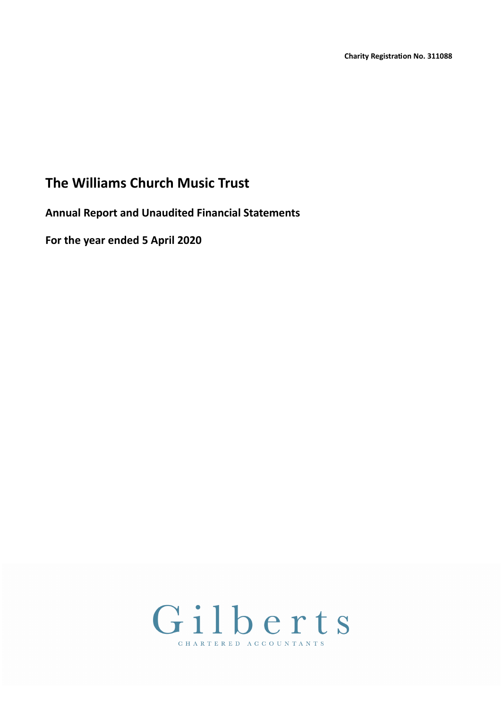**Annual Report and Unaudited Financial Statements**

**For the year ended 5 April 2020**

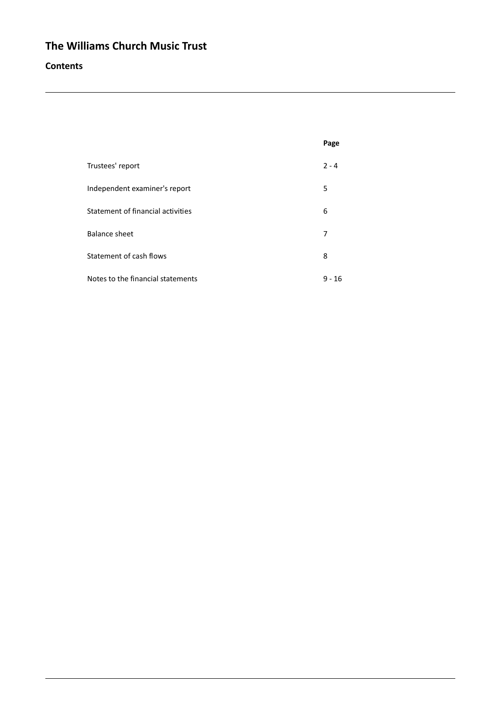## **Contents**

|                                   | Page    |
|-----------------------------------|---------|
| Trustees' report                  | $2 - 4$ |
| Independent examiner's report     | 5       |
| Statement of financial activities | 6       |
| <b>Balance sheet</b>              | 7       |
| Statement of cash flows           | 8       |
| Notes to the financial statements | 9 - 16  |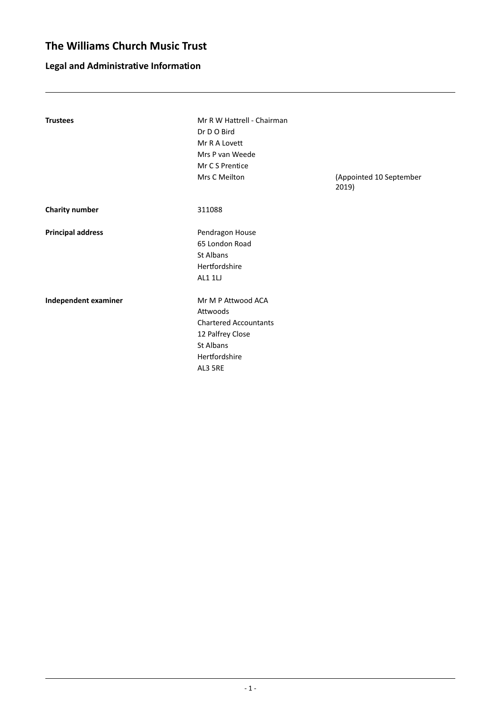# **Legal and Administrative Information**

| <b>Trustees</b>          | Mr R W Hattrell - Chairman<br>Dr D O Bird |                                  |
|--------------------------|-------------------------------------------|----------------------------------|
|                          | Mr R A Lovett                             |                                  |
|                          |                                           |                                  |
|                          | Mrs P van Weede                           |                                  |
|                          | Mr C S Prentice                           |                                  |
|                          | Mrs C Meilton                             | (Appointed 10 September<br>2019) |
| <b>Charity number</b>    | 311088                                    |                                  |
| <b>Principal address</b> | Pendragon House                           |                                  |
|                          | 65 London Road                            |                                  |
|                          | St Albans                                 |                                  |
|                          | Hertfordshire                             |                                  |
|                          | AL1 1LJ                                   |                                  |
| Independent examiner     | Mr M P Attwood ACA                        |                                  |
|                          | Attwoods                                  |                                  |
|                          | <b>Chartered Accountants</b>              |                                  |
|                          | 12 Palfrey Close                          |                                  |
|                          | St Albans                                 |                                  |
|                          |                                           |                                  |
|                          | Hertfordshire                             |                                  |
|                          | AL3 5RE                                   |                                  |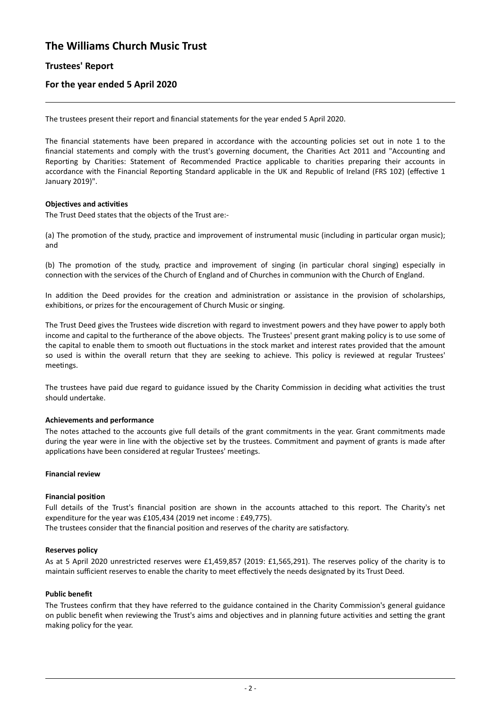## **Trustees' Report**

### **For the year ended 5 April 2020**

The trustees present their report and financial statements for the year ended 5 April 2020.

The financial statements have been prepared in accordance with the accounting policies set out in note 1 to the financial statements and comply with the trust's governing document, the Charities Act 2011 and "Accounting and Reporting by Charities: Statement of Recommended Practice applicable to charities preparing their accounts in accordance with the Financial Reporting Standard applicable in the UK and Republic of Ireland (FRS 102) (effective 1 January 2019)".

#### **Objectives and activities**

The Trust Deed states that the objects of the Trust are:-

(a) The promotion of the study, practice and improvement of instrumental music (including in particular organ music); and

(b) The promotion of the study, practice and improvement of singing (in particular choral singing) especially in connection with the services of the Church of England and of Churches in communion with the Church of England.

In addition the Deed provides for the creation and administration or assistance in the provision of scholarships, exhibitions, or prizes for the encouragement of Church Music or singing.

The Trust Deed gives the Trustees wide discretion with regard to investment powers and they have power to apply both income and capital to the furtherance of the above objects. The Trustees' present grant making policy is to use some of the capital to enable them to smooth out fluctuations in the stock market and interest rates provided that the amount so used is within the overall return that they are seeking to achieve. This policy is reviewed at regular Trustees' meetings.

The trustees have paid due regard to guidance issued by the Charity Commission in deciding what activities the trust should undertake.

#### **Achievements and performance**

The notes attached to the accounts give full details of the grant commitments in the year. Grant commitments made during the year were in line with the objective set by the trustees. Commitment and payment of grants is made after applications have been considered at regular Trustees' meetings.

#### **Financial review**

#### **Financial position**

Full details of the Trust's financial position are shown in the accounts attached to this report. The Charity's net expenditure for the year was £105,434 (2019 net income : £49,775).

The trustees consider that the financial position and reserves of the charity are satisfactory.

#### **Reserves policy**

As at 5 April 2020 unrestricted reserves were £1,459,857 (2019: £1,565,291). The reserves policy of the charity is to maintain sufficient reserves to enable the charity to meet effectively the needs designated by its Trust Deed.

#### **Public benefit**

The Trustees confirm that they have referred to the guidance contained in the Charity Commission's general guidance on public benefit when reviewing the Trust's aims and objectives and in planning future activities and setting the grant making policy for the year.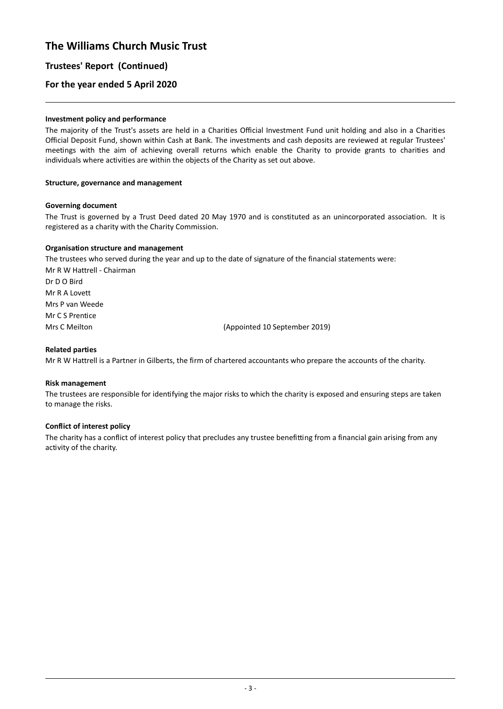## **Trustees' Report (Continued)**

### **For the year ended 5 April 2020**

#### **Investment policy and performance**

The majority of the Trust's assets are held in a Charities Official Investment Fund unit holding and also in a Charities Official Deposit Fund, shown within Cash at Bank. The investments and cash deposits are reviewed at regular Trustees' meetings with the aim of achieving overall returns which enable the Charity to provide grants to charities and individuals where activities are within the objects of the Charity as set out above.

#### **Structure, governance and management**

#### **Governing document**

The Trust is governed by a Trust Deed dated 20 May 1970 and is constituted as an unincorporated association. It is registered as a charity with the Charity Commission.

#### **Organisation structure and management**

The trustees who served during the year and up to the date of signature of the financial statements were: Mr R W Hattrell - Chairman Dr D O Bird Mr R A Lovett Mrs P van Weede Mr C S Prentice Mrs C Meilton **(Appointed 10 September 2019)** 

#### **Related parties**

Mr R W Hattrell is a Partner in Gilberts, the firm of chartered accountants who prepare the accounts of the charity.

#### **Risk management**

The trustees are responsible for identifying the major risks to which the charity is exposed and ensuring steps are taken to manage the risks.

#### **Conflict of interest policy**

The charity has a conflict of interest policy that precludes any trustee benefitting from a financial gain arising from any activity of the charity.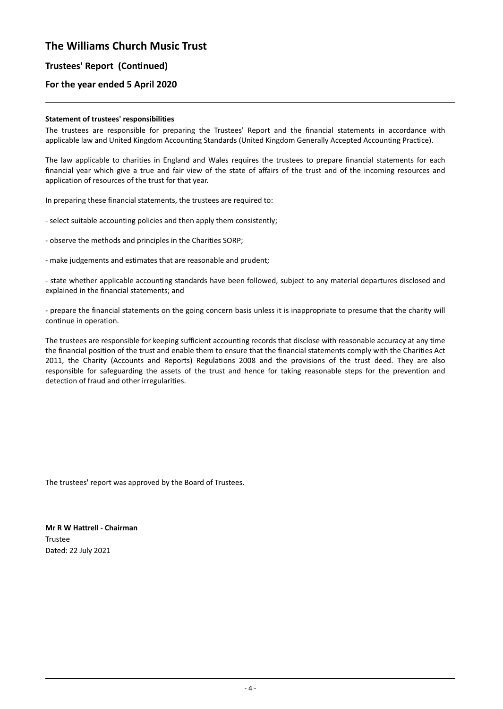## **Trustees' Report (Continued)**

## **For the year ended 5 April 2020**

#### **Statement of trustees' responsibilities**

The trustees are responsible for preparing the Trustees' Report and the financial statements in accordance with applicable law and United Kingdom Accounting Standards (United Kingdom Generally Accepted Accounting Practice).

The law applicable to charities in England and Wales requires the trustees to prepare financial statements for each financial year which give a true and fair view of the state of affairs of the trust and of the incoming resources and application of resources of the trust for that year.

In preparing these financial statements, the trustees are required to:

- select suitable accounting policies and then apply them consistently;

- observe the methods and principles in the Charities SORP;

- make judgements and estimates that are reasonable and prudent;

- state whether applicable accounting standards have been followed, subject to any material departures disclosed and explained in the financial statements; and

- prepare the financial statements on the going concern basis unless it is inappropriate to presume that the charity will continue in operation.

The trustees are responsible for keeping sufficient accounting records that disclose with reasonable accuracy at any time the financial position of the trust and enable them to ensure that the financial statements comply with the Charities Act 2011, the Charity (Accounts and Reports) Regulations 2008 and the provisions of the trust deed. They are also responsible for safeguarding the assets of the trust and hence for taking reasonable steps for the prevention and detection of fraud and other irregularities.

The trustees' report was approved by the Board of Trustees.

**Mr R W Hattrell - Chairman** Trustee Dated: 22 July 2021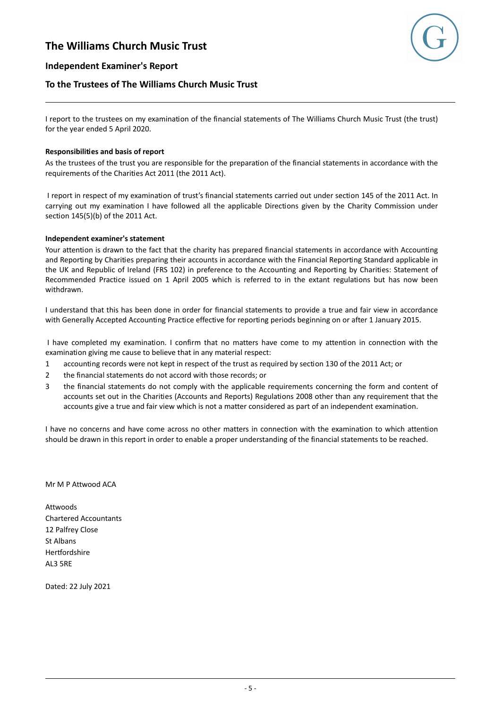

### **Independent Examiner's Report**

### **To the Trustees of The Williams Church Music Trust**

I report to the trustees on my examination of the financial statements of The Williams Church Music Trust (the trust) for the year ended 5 April 2020.

#### **Responsibilities and basis of report**

As the trustees of the trust you are responsible for the preparation of the financial statements in accordance with the requirements of the Charities Act 2011 (the 2011 Act).

I report in respect of my examination of trust's financial statements carried out under section 145 of the 2011 Act. In carrying out my examination I have followed all the applicable Directions given by the Charity Commission under section 145(5)(b) of the 2011 Act.

#### **Independent examiner's statement**

Your attention is drawn to the fact that the charity has prepared financial statements in accordance with Accounting and Reporting by Charities preparing their accounts in accordance with the Financial Reporting Standard applicable in the UK and Republic of Ireland (FRS 102) in preference to the Accounting and Reporting by Charities: Statement of Recommended Practice issued on 1 April 2005 which is referred to in the extant regulations but has now been withdrawn.

I understand that this has been done in order for financial statements to provide a true and fair view in accordance with Generally Accepted Accounting Practice effective for reporting periods beginning on or after 1 January 2015.

I have completed my examination. I confirm that no matters have come to my attention in connection with the examination giving me cause to believe that in any material respect:

- 1 accounting records were not kept in respect of the trust as required by section 130 of the 2011 Act; or
- 2 the financial statements do not accord with those records; or
- 3 the financial statements do not comply with the applicable requirements concerning the form and content of accounts set out in the Charities (Accounts and Reports) Regulations 2008 other than any requirement that the accounts give a true and fair view which is not a matter considered as part of an independent examination.

I have no concerns and have come across no other matters in connection with the examination to which attention should be drawn in this report in order to enable a proper understanding of the financial statements to be reached.

Mr M P Attwood ACA

Attwoods Chartered Accountants 12 Palfrey Close St Albans Hertfordshire AL3 5RE

Dated: 22 July 2021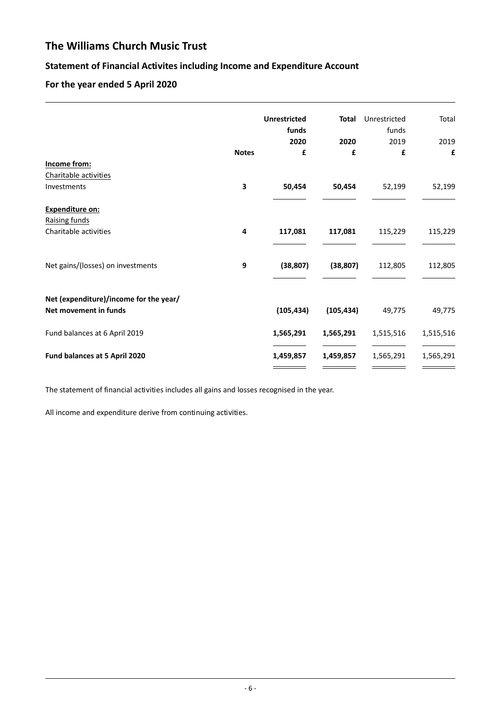# **Statement of Financial Activites including Income and Expenditure Account**

# **For the year ended 5 April 2020**

|                                                                 |              | <b>Unrestricted</b><br>funds | <b>Total</b> | Unrestricted<br>funds | Total     |
|-----------------------------------------------------------------|--------------|------------------------------|--------------|-----------------------|-----------|
|                                                                 |              | 2020                         | 2020         | 2019                  | 2019      |
|                                                                 | <b>Notes</b> | £                            | £            | £                     | £         |
| Income from:                                                    |              |                              |              |                       |           |
| Charitable activities                                           |              |                              |              |                       |           |
| Investments                                                     | 3            | 50,454                       | 50,454       | 52,199                | 52,199    |
| Expenditure on:                                                 |              |                              |              |                       |           |
| Raising funds                                                   |              |                              |              |                       |           |
| Charitable activities                                           | 4            | 117,081                      | 117,081      | 115,229               | 115,229   |
|                                                                 |              |                              |              |                       |           |
| Net gains/(losses) on investments                               | 9            | (38, 807)                    | (38, 807)    | 112,805               | 112,805   |
|                                                                 |              |                              |              |                       |           |
| Net (expenditure)/income for the year/<br>Net movement in funds |              | (105, 434)                   | (105, 434)   | 49,775                | 49,775    |
| Fund balances at 6 April 2019                                   |              | 1,565,291                    | 1,565,291    | 1,515,516             | 1,515,516 |
| Fund balances at 5 April 2020                                   |              | 1,459,857                    | 1,459,857    | 1,565,291             | 1,565,291 |

The statement of financial activities includes all gains and losses recognised in the year.

All income and expenditure derive from continuing activities.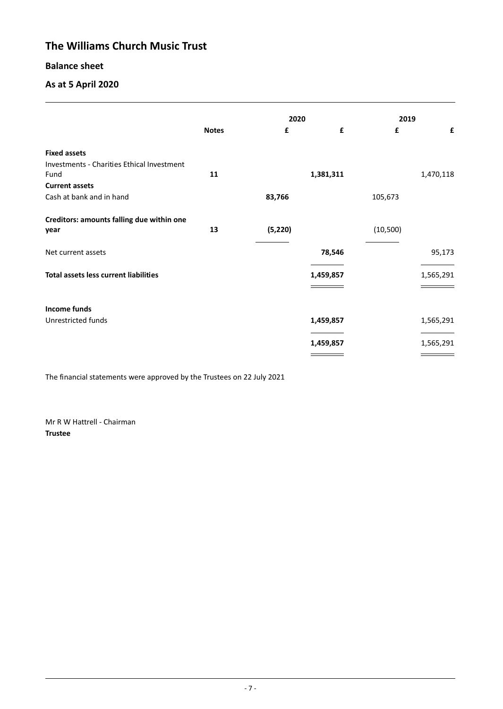## **Balance sheet**

## **As at 5 April 2020**

|                                              |              | 2020     |           | 2019      |           |
|----------------------------------------------|--------------|----------|-----------|-----------|-----------|
|                                              | <b>Notes</b> | £        | £         | £         | £         |
| <b>Fixed assets</b>                          |              |          |           |           |           |
| Investments - Charities Ethical Investment   |              |          |           |           |           |
| Fund                                         | 11           |          | 1,381,311 |           | 1,470,118 |
| <b>Current assets</b>                        |              |          |           |           |           |
| Cash at bank and in hand                     |              | 83,766   |           | 105,673   |           |
| Creditors: amounts falling due within one    |              |          |           |           |           |
| year                                         | 13           | (5, 220) |           | (10, 500) |           |
| Net current assets                           |              |          | 78,546    |           | 95,173    |
| <b>Total assets less current liabilities</b> |              |          | 1,459,857 |           | 1,565,291 |
|                                              |              |          |           |           |           |
| Income funds                                 |              |          |           |           |           |
| Unrestricted funds                           |              |          | 1,459,857 |           | 1,565,291 |
|                                              |              |          |           |           |           |
|                                              |              |          | 1,459,857 |           | 1,565,291 |
|                                              |              |          |           |           |           |

The financial statements were approved by the Trustees on 22 July 2021

Mr R W Hattrell - Chairman **Trustee**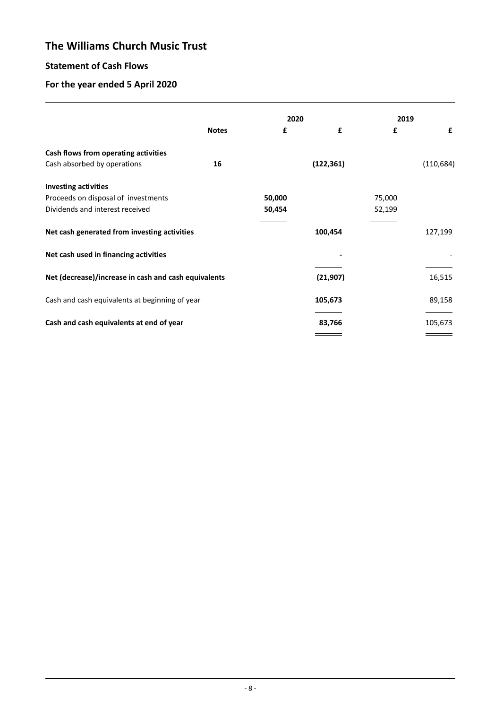# **Statement of Cash Flows**

# **For the year ended 5 April 2020**

|                                                      |              | 2020   |            | 2019   |            |
|------------------------------------------------------|--------------|--------|------------|--------|------------|
|                                                      | <b>Notes</b> | £      | £          | £      | £          |
| Cash flows from operating activities                 |              |        |            |        |            |
| Cash absorbed by operations                          | 16           |        | (122, 361) |        | (110, 684) |
| <b>Investing activities</b>                          |              |        |            |        |            |
| Proceeds on disposal of investments                  |              | 50,000 |            | 75,000 |            |
| Dividends and interest received                      |              | 50,454 |            | 52,199 |            |
| Net cash generated from investing activities         |              |        | 100,454    |        | 127,199    |
| Net cash used in financing activities                |              |        |            |        |            |
| Net (decrease)/increase in cash and cash equivalents |              |        | (21, 907)  |        | 16,515     |
| Cash and cash equivalents at beginning of year       |              |        | 105,673    |        | 89,158     |
| Cash and cash equivalents at end of year             |              |        | 83,766     |        | 105,673    |
|                                                      |              |        |            |        |            |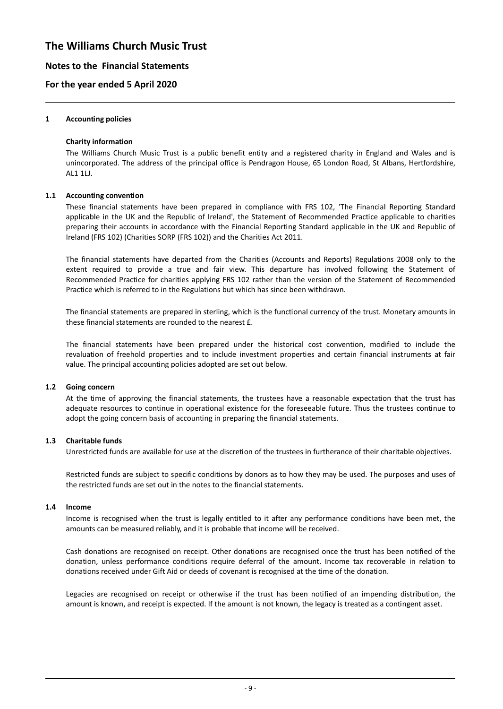### **Notes to the Financial Statements**

### **For the year ended 5 April 2020**

#### **1 Accounting policies**

#### **Charity information**

The Williams Church Music Trust is a public benefit entity and a registered charity in England and Wales and is unincorporated. The address of the principal office is Pendragon House, 65 London Road, St Albans, Hertfordshire, AL1 1LJ.

#### **1.1 Accounting convention**

These financial statements have been prepared in compliance with FRS 102, 'The Financial Reporting Standard applicable in the UK and the Republic of Ireland', the Statement of Recommended Practice applicable to charities preparing their accounts in accordance with the Financial Reporting Standard applicable in the UK and Republic of Ireland (FRS 102) (Charities SORP (FRS 102)) and the Charities Act 2011.

The financial statements have departed from the Charities (Accounts and Reports) Regulations 2008 only to the extent required to provide a true and fair view. This departure has involved following the Statement of Recommended Practice for charities applying FRS 102 rather than the version of the Statement of Recommended Practice which is referred to in the Regulations but which has since been withdrawn.

The financial statements are prepared in sterling, which is the functional currency of the trust. Monetary amounts in these financial statements are rounded to the nearest £.

The financial statements have been prepared under the historical cost convention, modified to include the revaluation of freehold properties and to include investment properties and certain financial instruments at fair value. The principal accounting policies adopted are set out below.

#### **1.2 Going concern**

At the time of approving the financial statements, the trustees have a reasonable expectation that the trust has adequate resources to continue in operational existence for the foreseeable future. Thus the trustees continue to adopt the going concern basis of accounting in preparing the financial statements.

### **1.3 Charitable funds**

Unrestricted funds are available for use at the discretion of the trustees in furtherance of their charitable objectives.

Restricted funds are subject to specific conditions by donors as to how they may be used. The purposes and uses of the restricted funds are set out in the notes to the financial statements.

#### **1.4 Income**

Income is recognised when the trust is legally entitled to it after any performance conditions have been met, the amounts can be measured reliably, and it is probable that income will be received.

Cash donations are recognised on receipt. Other donations are recognised once the trust has been notified of the donation, unless performance conditions require deferral of the amount. Income tax recoverable in relation to donations received under Gift Aid or deeds of covenant is recognised at the time of the donation.

Legacies are recognised on receipt or otherwise if the trust has been notified of an impending distribution, the amount is known, and receipt is expected. If the amount is not known, the legacy is treated as a contingent asset.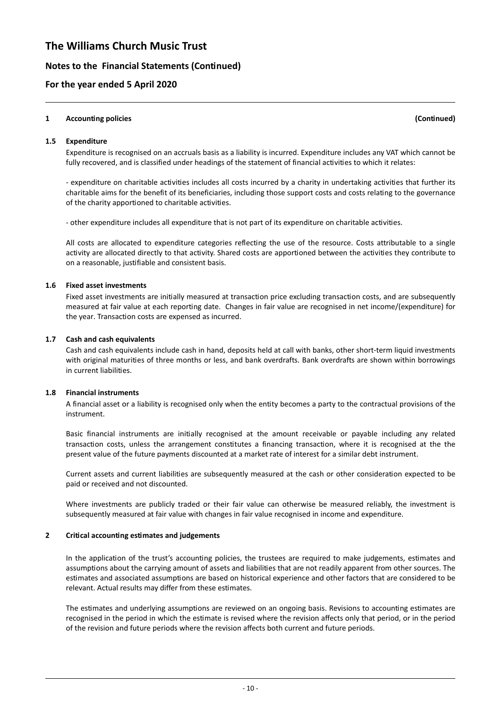### **Notes to the Financial Statements (Continued)**

### **For the year ended 5 April 2020**

#### **1 Accounting policies (Continued)**

#### **1.5 Expenditure**

Expenditure is recognised on an accruals basis as a liability is incurred. Expenditure includes any VAT which cannot be fully recovered, and is classified under headings of the statement of financial activities to which it relates:

- expenditure on charitable activities includes all costs incurred by a charity in undertaking activities that further its charitable aims for the benefit of its beneficiaries, including those support costs and costs relating to the governance of the charity apportioned to charitable activities.

- other expenditure includes all expenditure that is not part of its expenditure on charitable activities.

All costs are allocated to expenditure categories reflecting the use of the resource. Costs attributable to a single activity are allocated directly to that activity. Shared costs are apportioned between the activities they contribute to on a reasonable, justifiable and consistent basis.

#### **1.6 Fixed asset investments**

Fixed asset investments are initially measured at transaction price excluding transaction costs, and are subsequently measured at fair value at each reporting date. Changes in fair value are recognised in net income/(expenditure) for the year. Transaction costs are expensed as incurred.

#### **1.7 Cash and cash equivalents**

Cash and cash equivalents include cash in hand, deposits held at call with banks, other short-term liquid investments with original maturities of three months or less, and bank overdrafts. Bank overdrafts are shown within borrowings in current liabilities.

#### **1.8 Financial instruments**

A financial asset or a liability is recognised only when the entity becomes a party to the contractual provisions of the instrument.

Basic financial instruments are initially recognised at the amount receivable or payable including any related transaction costs, unless the arrangement constitutes a financing transaction, where it is recognised at the the present value of the future payments discounted at a market rate of interest for a similar debt instrument.

Current assets and current liabilities are subsequently measured at the cash or other consideration expected to be paid or received and not discounted.

Where investments are publicly traded or their fair value can otherwise be measured reliably, the investment is subsequently measured at fair value with changes in fair value recognised in income and expenditure.

#### **2 Critical accounting estimates and judgements**

In the application of the trust's accounting policies, the trustees are required to make judgements, estimates and assumptions about the carrying amount of assets and liabilities that are not readily apparent from other sources. The estimates and associated assumptions are based on historical experience and other factors that are considered to be relevant. Actual results may differ from these estimates.

The estimates and underlying assumptions are reviewed on an ongoing basis. Revisions to accounting estimates are recognised in the period in which the estimate is revised where the revision affects only that period, or in the period of the revision and future periods where the revision affects both current and future periods.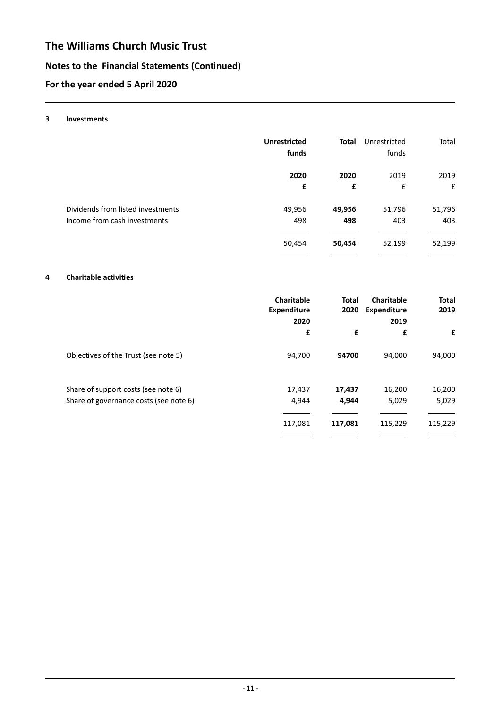# **Notes to the Financial Statements (Continued)**

# **For the year ended 5 April 2020**

#### **3 Investments**

| <b>Unrestricted</b><br>funds | <b>Total</b> | Unrestricted<br>funds | Total       |
|------------------------------|--------------|-----------------------|-------------|
| 2020                         | 2020         | 2019                  | 2019        |
| £                            | £            | £                     | $\mathbf f$ |
| 49,956                       | 49,956       | 51,796                | 51,796      |
| 498                          | 498          | 403                   | 403         |
| 50,454                       | 50,454       | 52,199                | 52,199      |
|                              |              |                       |             |

#### **4 Charitable activities**

|                                        | Charitable<br><b>Expenditure</b><br>2020 | <b>Total</b><br>2020 | Charitable<br>Expenditure<br>2019 | <b>Total</b><br>2019 |
|----------------------------------------|------------------------------------------|----------------------|-----------------------------------|----------------------|
|                                        | £                                        | £                    | £                                 | £                    |
| Objectives of the Trust (see note 5)   | 94,700                                   | 94700                | 94,000                            | 94,000               |
| Share of support costs (see note 6)    | 17,437                                   | 17,437               | 16,200                            | 16,200               |
| Share of governance costs (see note 6) | 4,944                                    | 4,944                | 5,029                             | 5,029                |
|                                        | 117,081                                  | 117,081              | 115,229                           | 115,229              |
|                                        |                                          |                      |                                   |                      |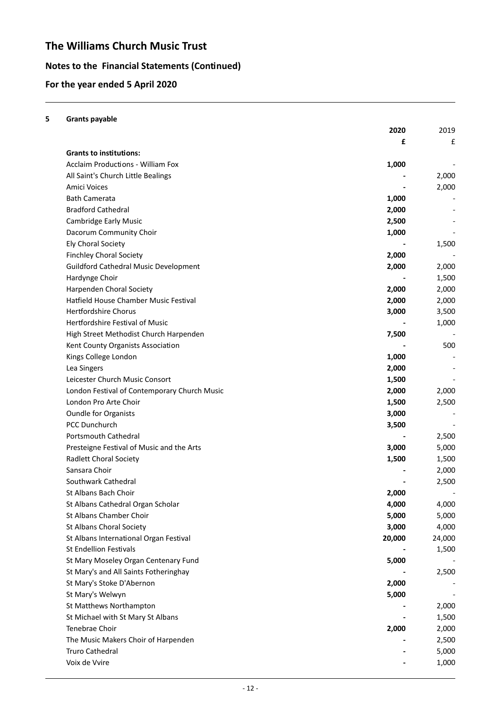# **Notes to the Financial Statements (Continued)**

# **For the year ended 5 April 2020**

| 5 | <b>Grants payable</b>                        |        |        |
|---|----------------------------------------------|--------|--------|
|   |                                              | 2020   | 2019   |
|   |                                              | £      | £      |
|   | <b>Grants to institutions:</b>               |        |        |
|   | <b>Acclaim Productions - William Fox</b>     | 1,000  |        |
|   | All Saint's Church Little Bealings           |        | 2,000  |
|   | Amici Voices                                 |        | 2,000  |
|   | <b>Bath Camerata</b>                         | 1,000  |        |
|   | <b>Bradford Cathedral</b>                    | 2,000  |        |
|   | <b>Cambridge Early Music</b>                 | 2,500  |        |
|   | Dacorum Community Choir                      | 1,000  |        |
|   | <b>Ely Choral Society</b>                    |        | 1,500  |
|   | <b>Finchley Choral Society</b>               | 2,000  |        |
|   | <b>Guildford Cathedral Music Development</b> | 2,000  | 2,000  |
|   | Hardynge Choir                               |        | 1,500  |
|   | Harpenden Choral Society                     | 2,000  | 2,000  |
|   | Hatfield House Chamber Music Festival        | 2,000  | 2,000  |
|   | <b>Hertfordshire Chorus</b>                  | 3,000  | 3,500  |
|   | Hertfordshire Festival of Music              |        | 1,000  |
|   | High Street Methodist Church Harpenden       | 7,500  |        |
|   | Kent County Organists Association            |        | 500    |
|   | Kings College London                         | 1,000  |        |
|   | Lea Singers                                  | 2,000  |        |
|   | Leicester Church Music Consort               | 1,500  |        |
|   | London Festival of Contemporary Church Music | 2,000  | 2,000  |
|   | London Pro Arte Choir                        | 1,500  | 2,500  |
|   | <b>Oundle for Organists</b>                  | 3,000  |        |
|   | PCC Dunchurch                                | 3,500  |        |
|   | Portsmouth Cathedral                         |        | 2,500  |
|   | Presteigne Festival of Music and the Arts    | 3,000  | 5,000  |
|   | <b>Radlett Choral Society</b>                | 1,500  | 1,500  |
|   | Sansara Choir                                |        | 2,000  |
|   | Southwark Cathedral                          |        | 2,500  |
|   | St Albans Bach Choir                         | 2,000  |        |
|   | St Albans Cathedral Organ Scholar            | 4,000  | 4,000  |
|   | St Albans Chamber Choir                      | 5,000  | 5,000  |
|   | St Albans Choral Society                     | 3,000  | 4,000  |
|   | St Albans International Organ Festival       | 20,000 | 24,000 |
|   | St Endellion Festivals                       |        | 1,500  |
|   | St Mary Moseley Organ Centenary Fund         | 5,000  |        |
|   | St Mary's and All Saints Fotheringhay        |        | 2,500  |
|   | St Mary's Stoke D'Abernon                    | 2,000  |        |
|   | St Mary's Welwyn                             | 5,000  |        |
|   | St Matthews Northampton                      |        | 2,000  |
|   | St Michael with St Mary St Albans            |        | 1,500  |
|   | Tenebrae Choir                               | 2,000  | 2,000  |
|   | The Music Makers Choir of Harpenden          |        | 2,500  |
|   | <b>Truro Cathedral</b>                       |        | 5,000  |
|   | Voix de Vvire                                |        | 1,000  |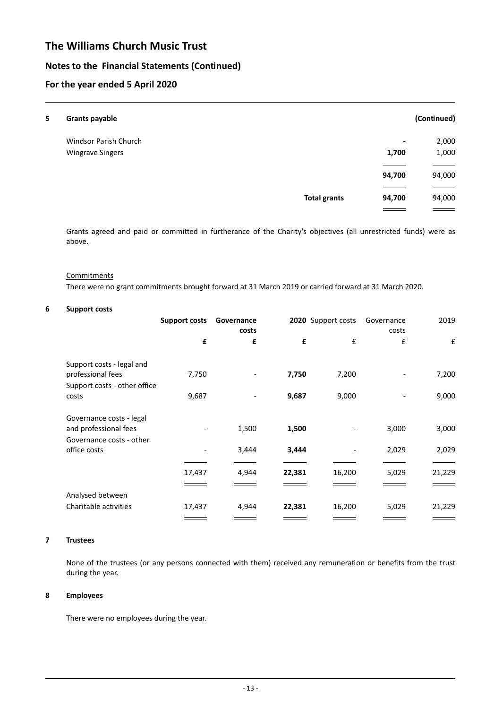## **Notes to the Financial Statements (Continued)**

## **For the year ended 5 April 2020**

| 5 | <b>Grants payable</b>   |                     |                | (Continued) |
|---|-------------------------|---------------------|----------------|-------------|
|   | Windsor Parish Church   |                     | $\blacksquare$ | 2,000       |
|   | <b>Wingrave Singers</b> |                     | 1,700          | 1,000       |
|   |                         |                     |                |             |
|   |                         |                     | 94,700         | 94,000      |
|   |                         | <b>Total grants</b> | 94,700         | 94,000      |
|   |                         |                     |                |             |

Grants agreed and paid or committed in furtherance of the Charity's objectives (all unrestricted funds) were as above.

#### **Commitments**

There were no grant commitments brought forward at 31 March 2019 or carried forward at 31 March 2020.

#### **6 Support costs**

|                                                   | Support costs | Governance<br>costs |        | 2020 Support costs | Governance<br>costs | 2019   |
|---------------------------------------------------|---------------|---------------------|--------|--------------------|---------------------|--------|
|                                                   | £             | £                   | £      | £                  | £                   | £      |
| Support costs - legal and                         |               |                     |        |                    |                     |        |
| professional fees                                 | 7,750         |                     | 7,750  | 7,200              |                     | 7,200  |
| Support costs - other office<br>costs             | 9,687         |                     | 9,687  | 9,000              |                     | 9,000  |
| Governance costs - legal<br>and professional fees |               | 1,500               | 1,500  |                    | 3,000               | 3,000  |
| Governance costs - other<br>office costs          |               | 3,444               | 3,444  |                    | 2,029               | 2,029  |
|                                                   |               |                     |        |                    |                     |        |
|                                                   | 17,437        | 4,944               | 22,381 | 16,200             | 5,029               | 21,229 |
|                                                   |               |                     |        |                    |                     |        |
| Analysed between                                  |               |                     |        |                    |                     |        |
| Charitable activities                             | 17,437        | 4,944               | 22,381 | 16,200             | 5,029               | 21,229 |
|                                                   |               |                     |        |                    |                     |        |

### **7 Trustees**

None of the trustees (or any persons connected with them) received any remuneration or benefits from the trust during the year.

#### **8 Employees**

There were no employees during the year.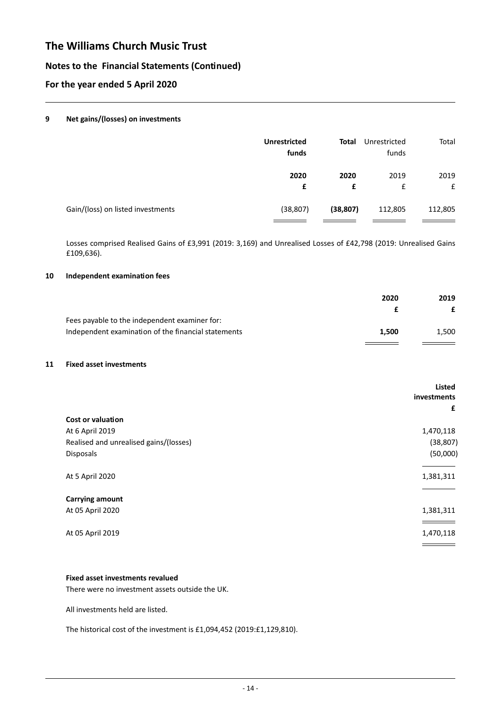### **Notes to the Financial Statements (Continued)**

### **For the year ended 5 April 2020**

#### **9 Net gains/(losses) on investments**

| <b>Unrestricted</b><br>funds | Total     | Unrestricted<br>funds | Total   |
|------------------------------|-----------|-----------------------|---------|
| 2020                         | 2020      | 2019                  | 2019    |
| £                            | £         | £                     | £       |
| (38, 807)                    | (38, 807) | 112,805               | 112,805 |
|                              |           |                       |         |

Losses comprised Realised Gains of £3,991 (2019: 3,169) and Unrealised Losses of £42,798 (2019: Unrealised Gains £109,636).

### **10 Independent examination fees**

|                                                     | 2020  | 2019  |
|-----------------------------------------------------|-------|-------|
|                                                     |       |       |
| Fees payable to the independent examiner for:       |       |       |
| Independent examination of the financial statements | 1.500 | 1.500 |
|                                                     |       |       |

#### **11 Fixed asset investments**

|                                        | <b>Listed</b><br>investments |
|----------------------------------------|------------------------------|
|                                        | £                            |
| Cost or valuation                      |                              |
| At 6 April 2019                        | 1,470,118                    |
| Realised and unrealised gains/(losses) | (38, 807)                    |
| Disposals                              | (50,000)                     |
| At 5 April 2020                        | 1,381,311                    |
| <b>Carrying amount</b>                 |                              |
| At 05 April 2020                       | 1,381,311                    |
|                                        |                              |
| At 05 April 2019                       | 1,470,118                    |
|                                        |                              |

### **Fixed asset investments revalued**

There were no investment assets outside the UK.

All investments held are listed.

The historical cost of the investment is £1,094,452 (2019:£1,129,810).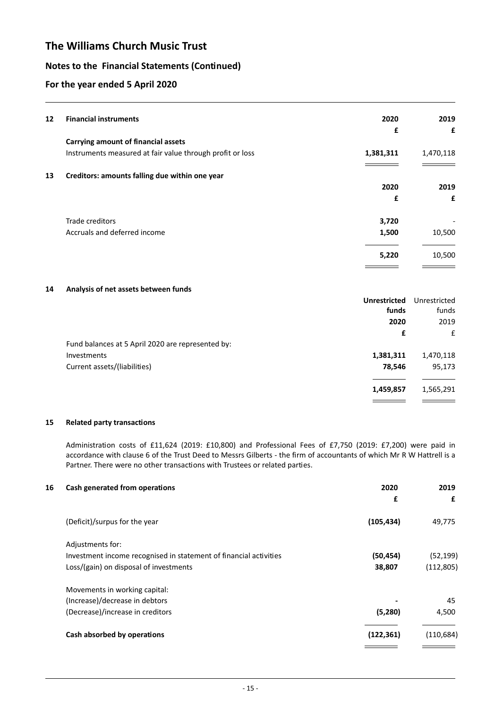## **Notes to the Financial Statements (Continued)**

## **For the year ended 5 April 2020**

| 12 | <b>Financial instruments</b>                              | 2020                | 2019         |
|----|-----------------------------------------------------------|---------------------|--------------|
|    |                                                           | £                   | £            |
|    | <b>Carrying amount of financial assets</b>                |                     |              |
|    | Instruments measured at fair value through profit or loss | 1,381,311           | 1,470,118    |
| 13 | Creditors: amounts falling due within one year            |                     |              |
|    |                                                           | 2020                | 2019         |
|    |                                                           | £                   | £            |
|    | Trade creditors                                           | 3,720               |              |
|    | Accruals and deferred income                              | 1,500               | 10,500       |
|    |                                                           | 5,220               | 10,500       |
|    |                                                           |                     |              |
| 14 | Analysis of net assets between funds                      |                     |              |
|    |                                                           | <b>Unrestricted</b> | Unrestricted |
|    |                                                           | funds               | funds        |
|    |                                                           | 2020                | 2019         |

| Fund balances at 5 April 2020 are represented by: |           |           |
|---------------------------------------------------|-----------|-----------|
| Investments                                       | 1,381,311 | 1,470,118 |
| Current assets/(liabilities)                      | 78.546    | 95,173    |
|                                                   |           |           |
|                                                   | 1,459,857 | 1,565,291 |
|                                                   |           |           |

#### **15 Related party transactions**

Administration costs of £11,624 (2019: £10,800) and Professional Fees of £7,750 (2019: £7,200) were paid in accordance with clause 6 of the Trust Deed to Messrs Gilberts - the firm of accountants of which Mr R W Hattrell is a Partner. There were no other transactions with Trustees or related parties.

| 16 | Cash generated from operations                                    | 2020<br>£  | 2019<br>£  |
|----|-------------------------------------------------------------------|------------|------------|
|    |                                                                   |            |            |
|    | (Deficit)/surpus for the year                                     | (105, 434) | 49,775     |
|    | Adjustments for:                                                  |            |            |
|    | Investment income recognised in statement of financial activities | (50, 454)  | (52, 199)  |
|    | Loss/(gain) on disposal of investments                            | 38,807     | (112, 805) |
|    | Movements in working capital:                                     |            |            |
|    | (Increase)/decrease in debtors                                    |            | 45         |
|    | (Decrease)/increase in creditors                                  | (5,280)    | 4,500      |
|    | Cash absorbed by operations                                       | (122, 361) | (110, 684) |
|    |                                                                   |            |            |